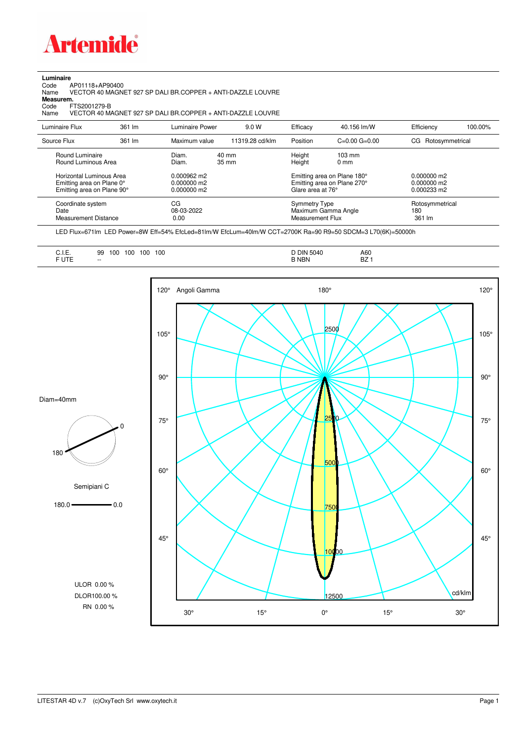

## **Luminaire**

Code AP01118+AP90400 Name VECTOR 40 MAGNET 927 SP DALI BR.COPPER + ANTI-DAZZLE LOUVRE Code A<br>Name V<br>**Measurem.** 

Code FTS2001279-B<br>Name VECTOR 40 M/ Name VECTOR 40 MAGNET 927 SP DALI BR.COPPER + ANTI-DAZZLE LOUVRE

| Luminaire Flux                                                                                  | 361 lm | Luminaire Power                                         | 9.0 W                    | Efficacy                          | 40.156 lm/W                                                                                      | Efficiency                       | 100.00% |
|-------------------------------------------------------------------------------------------------|--------|---------------------------------------------------------|--------------------------|-----------------------------------|--------------------------------------------------------------------------------------------------|----------------------------------|---------|
| Source Flux                                                                                     | 361 lm | Maximum value                                           | 11319.28 cd/klm          | Position                          | $C=0.00$ $G=0.00$                                                                                | Rotosymmetrical<br>CG            |         |
| Round Luminaire<br>Round Luminous Area<br>Horizontal Luminous Area<br>Emitting area on Plane 0° |        | Diam.<br>Diam.<br>$0.000962 \text{ m}$<br>$0.000000$ m2 | $40 \text{ mm}$<br>35 mm | Height<br>Height                  | $103 \text{ mm}$<br>$0 \text{ mm}$<br>Emitting area on Plane 180°<br>Emitting area on Plane 270° | $0.000000$ m2<br>$0.000000$ m2   |         |
| Emitting area on Plane 90°                                                                      |        | $0.000000$ m2                                           |                          | Glare area at 76°                 |                                                                                                  | $0.000233 \text{ m}$             |         |
| Coordinate system<br>Date<br>Measurement Distance                                               |        | CG<br>08-03-2022<br>0.00                                |                          | Symmetry Type<br>Measurement Flux | Maximum Gamma Angle                                                                              | Rotosymmetrical<br>180<br>361 lm |         |

LED Flux=671lm LED Power=8W Eff=54% EfcLed=81lm/W EfcLum=40lm/W CCT=2700K Ra=90 R9=50 SDCM=3 L70(6K)=50000h